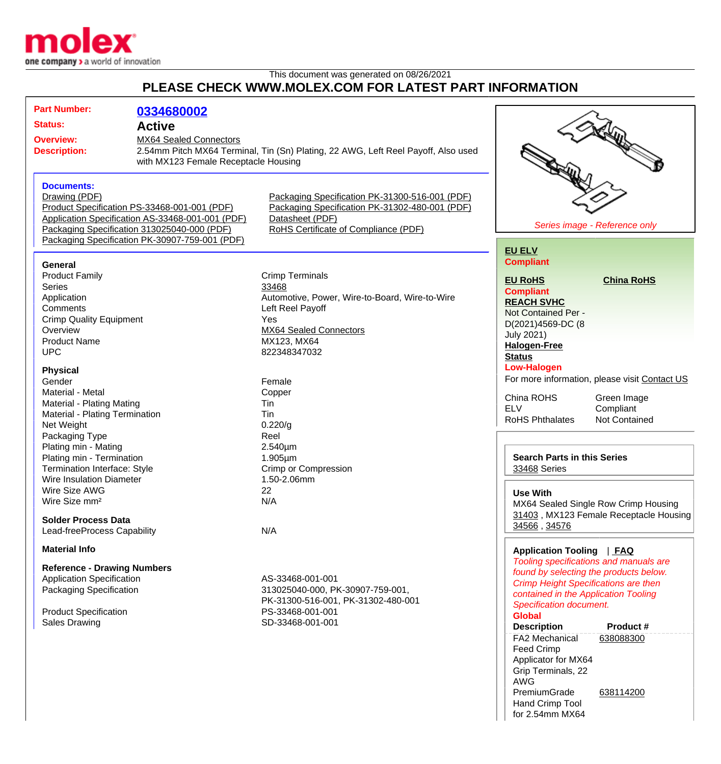

## This document was generated on 08/26/2021 **PLEASE CHECK WWW.MOLEX.COM FOR LATEST PART INFORMATION**

| <b>Part Number:</b>                                                                 | 0334680002                                                                        |                                                |                                                    |                                                                                       |  |
|-------------------------------------------------------------------------------------|-----------------------------------------------------------------------------------|------------------------------------------------|----------------------------------------------------|---------------------------------------------------------------------------------------|--|
| <b>Status:</b>                                                                      | <b>Active</b>                                                                     |                                                |                                                    |                                                                                       |  |
| <b>Overview:</b>                                                                    | <b>MX64 Sealed Connectors</b>                                                     |                                                |                                                    |                                                                                       |  |
| <b>Description:</b>                                                                 | 2.54mm Pitch MX64 Terminal, Tin (Sn) Plating, 22 AWG, Left Reel Payoff, Also used |                                                |                                                    |                                                                                       |  |
|                                                                                     | with MX123 Female Receptacle Housing                                              |                                                |                                                    |                                                                                       |  |
|                                                                                     |                                                                                   |                                                |                                                    |                                                                                       |  |
| <b>Documents:</b>                                                                   |                                                                                   |                                                |                                                    |                                                                                       |  |
| Drawing (PDF)                                                                       |                                                                                   | Packaging Specification PK-31300-516-001 (PDF) |                                                    |                                                                                       |  |
| Product Specification PS-33468-001-001 (PDF)                                        |                                                                                   | Packaging Specification PK-31302-480-001 (PDF) |                                                    |                                                                                       |  |
| Application Specification AS-33468-001-001 (PDF)<br>Datasheet (PDF)                 |                                                                                   |                                                |                                                    |                                                                                       |  |
| Packaging Specification 313025040-000 (PDF)<br>RoHS Certificate of Compliance (PDF) |                                                                                   |                                                |                                                    | Series image - Reference only                                                         |  |
|                                                                                     | Packaging Specification PK-30907-759-001 (PDF)                                    |                                                |                                                    |                                                                                       |  |
|                                                                                     |                                                                                   |                                                | <b>EU ELV</b>                                      |                                                                                       |  |
|                                                                                     |                                                                                   |                                                | <b>Compliant</b>                                   |                                                                                       |  |
| General                                                                             |                                                                                   |                                                |                                                    |                                                                                       |  |
| <b>Product Family</b>                                                               |                                                                                   | <b>Crimp Terminals</b>                         | <b>EU RoHS</b>                                     | <b>China RoHS</b>                                                                     |  |
| <b>Series</b>                                                                       |                                                                                   | 33468                                          | <b>Compliant</b>                                   |                                                                                       |  |
| Application                                                                         |                                                                                   | Automotive, Power, Wire-to-Board, Wire-to-Wire | <b>REACH SVHC</b>                                  |                                                                                       |  |
| Comments                                                                            |                                                                                   | Left Reel Payoff                               |                                                    | Not Contained Per -                                                                   |  |
| <b>Crimp Quality Equipment</b>                                                      |                                                                                   | Yes                                            | D(2021)4569-DC (8                                  |                                                                                       |  |
| Overview                                                                            |                                                                                   | MX64 Sealed Connectors                         | <b>July 2021)</b>                                  |                                                                                       |  |
| <b>Product Name</b>                                                                 |                                                                                   | MX123, MX64                                    | <b>Halogen-Free</b>                                |                                                                                       |  |
| <b>UPC</b>                                                                          |                                                                                   | 822348347032                                   | <b>Status</b>                                      |                                                                                       |  |
| <b>Physical</b>                                                                     |                                                                                   |                                                | <b>Low-Halogen</b>                                 |                                                                                       |  |
| Gender                                                                              |                                                                                   | Female                                         | For more information, please visit Contact US      |                                                                                       |  |
| Material - Metal                                                                    |                                                                                   | Copper                                         |                                                    |                                                                                       |  |
| <b>Material - Plating Mating</b>                                                    |                                                                                   | Tin                                            | China ROHS                                         | Green Image                                                                           |  |
| Material - Plating Termination                                                      |                                                                                   | Tin                                            | <b>ELV</b>                                         | Compliant                                                                             |  |
| Net Weight                                                                          |                                                                                   | 0.220/g                                        | <b>RoHS Phthalates</b>                             | <b>Not Contained</b>                                                                  |  |
| Packaging Type                                                                      |                                                                                   | Reel                                           |                                                    |                                                                                       |  |
| Plating min - Mating                                                                |                                                                                   | $2.540 \mu m$                                  |                                                    |                                                                                       |  |
| Plating min - Termination                                                           |                                                                                   | $1.905 \mu m$                                  | <b>Search Parts in this Series</b><br>33468 Series |                                                                                       |  |
| Termination Interface: Style                                                        |                                                                                   | Crimp or Compression                           |                                                    |                                                                                       |  |
| <b>Wire Insulation Diameter</b>                                                     |                                                                                   | 1.50-2.06mm                                    |                                                    |                                                                                       |  |
| Wire Size AWG                                                                       |                                                                                   | 22                                             | <b>Use With</b>                                    |                                                                                       |  |
| Wire Size mm <sup>2</sup>                                                           |                                                                                   | N/A                                            | MX64 Sealed Single Row Crimp Housing               |                                                                                       |  |
|                                                                                     |                                                                                   |                                                |                                                    | 31403, MX123 Female Receptacle Housing                                                |  |
| <b>Solder Process Data</b>                                                          |                                                                                   |                                                | 34566, 34576                                       |                                                                                       |  |
| Lead-freeProcess Capability                                                         |                                                                                   | N/A                                            |                                                    |                                                                                       |  |
| <b>Material Info</b>                                                                |                                                                                   |                                                |                                                    |                                                                                       |  |
|                                                                                     |                                                                                   |                                                | Application Tooling   FAQ                          | Tooling specifications and manuals are                                                |  |
| <b>Reference - Drawing Numbers</b>                                                  |                                                                                   |                                                |                                                    |                                                                                       |  |
| <b>Application Specification</b>                                                    |                                                                                   | AS-33468-001-001                               |                                                    | found by selecting the products below.<br><b>Crimp Height Specifications are then</b> |  |
| Packaging Specification                                                             |                                                                                   | 313025040-000, PK-30907-759-001,               |                                                    |                                                                                       |  |
|                                                                                     |                                                                                   | PK-31300-516-001, PK-31302-480-001             |                                                    | contained in the Application Tooling                                                  |  |
| <b>Product Specification</b>                                                        |                                                                                   | PS-33468-001-001                               | Specification document.<br><b>Global</b>           |                                                                                       |  |
| <b>Sales Drawing</b>                                                                |                                                                                   | SD-33468-001-001                               |                                                    | Product#                                                                              |  |
|                                                                                     |                                                                                   |                                                | <b>Description</b>                                 |                                                                                       |  |
|                                                                                     |                                                                                   |                                                | FA2 Mechanical                                     | 638088300                                                                             |  |
|                                                                                     |                                                                                   |                                                | Feed Crimp                                         |                                                                                       |  |
|                                                                                     |                                                                                   |                                                | Applicator for MX64                                |                                                                                       |  |
|                                                                                     |                                                                                   |                                                | Grip Terminals, 22                                 |                                                                                       |  |

AWG

PremiumGrade Hand Crimp Tool for 2.54mm MX64 [638114200](http://www.molex.com/molex/products/datasheet.jsp?part=active/0638114200_APPLICATION_TOOLIN.xml)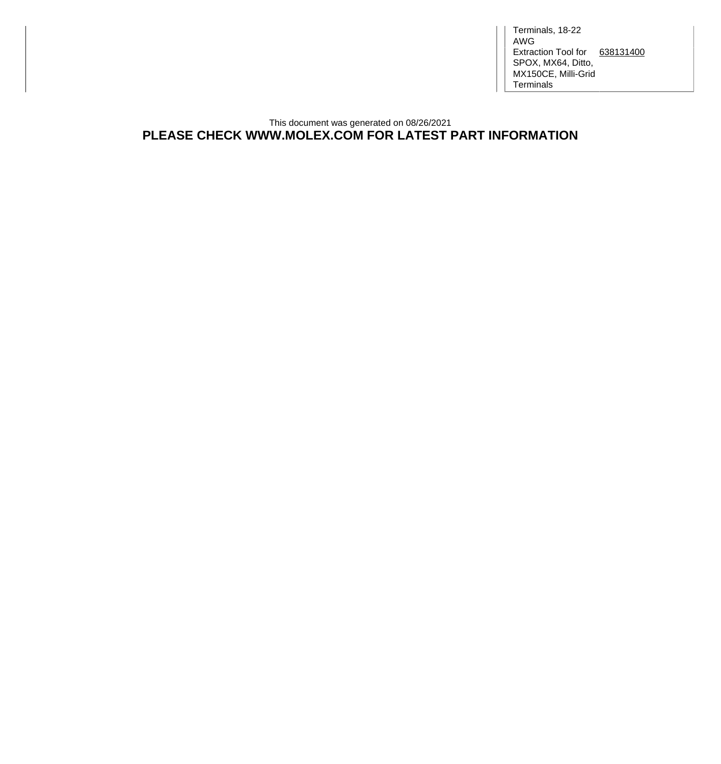Terminals, 18-22 AWG Extraction Tool for [638131400](http://www.molex.com/molex/products/datasheet.jsp?part=active/0638131400_APPLICATION_TOOLIN.xml) SPOX, MX64, Ditto, MX150CE, Milli-Grid **Terminals** 

## This document was generated on 08/26/2021 **PLEASE CHECK WWW.MOLEX.COM FOR LATEST PART INFORMATION**